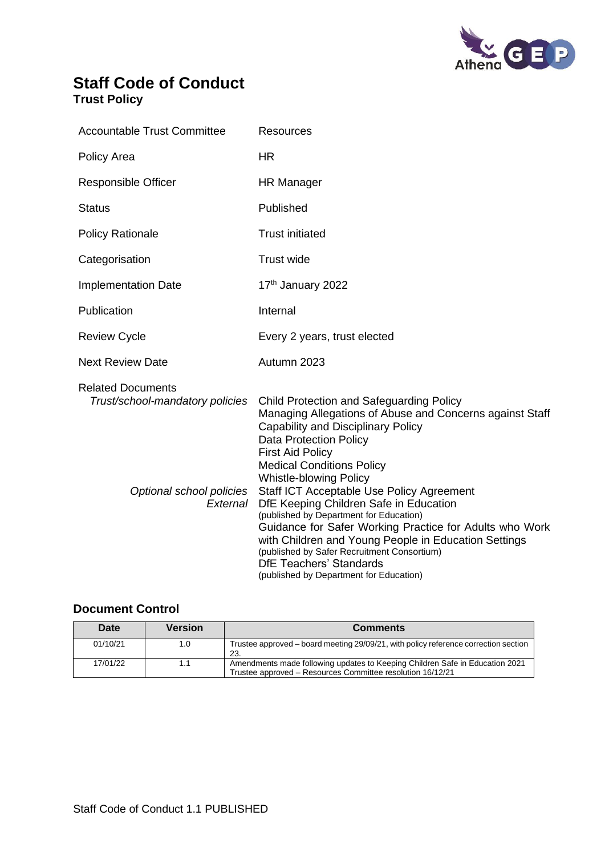

## **Staff Code of Conduct Trust Policy**

| <b>Accountable Trust Committee</b>                                                                  | <b>Resources</b>                                                                                                                                                                                                                                                                                                                                                                                                                                                                                                                                                                                                                                                    |
|-----------------------------------------------------------------------------------------------------|---------------------------------------------------------------------------------------------------------------------------------------------------------------------------------------------------------------------------------------------------------------------------------------------------------------------------------------------------------------------------------------------------------------------------------------------------------------------------------------------------------------------------------------------------------------------------------------------------------------------------------------------------------------------|
| Policy Area                                                                                         | HR                                                                                                                                                                                                                                                                                                                                                                                                                                                                                                                                                                                                                                                                  |
| <b>Responsible Officer</b>                                                                          | HR Manager                                                                                                                                                                                                                                                                                                                                                                                                                                                                                                                                                                                                                                                          |
| <b>Status</b>                                                                                       | Published                                                                                                                                                                                                                                                                                                                                                                                                                                                                                                                                                                                                                                                           |
| <b>Policy Rationale</b>                                                                             | <b>Trust initiated</b>                                                                                                                                                                                                                                                                                                                                                                                                                                                                                                                                                                                                                                              |
| Categorisation                                                                                      | <b>Trust wide</b>                                                                                                                                                                                                                                                                                                                                                                                                                                                                                                                                                                                                                                                   |
| <b>Implementation Date</b>                                                                          | 17th January 2022                                                                                                                                                                                                                                                                                                                                                                                                                                                                                                                                                                                                                                                   |
| Publication                                                                                         | Internal                                                                                                                                                                                                                                                                                                                                                                                                                                                                                                                                                                                                                                                            |
| <b>Review Cycle</b>                                                                                 | Every 2 years, trust elected                                                                                                                                                                                                                                                                                                                                                                                                                                                                                                                                                                                                                                        |
| <b>Next Review Date</b>                                                                             | Autumn 2023                                                                                                                                                                                                                                                                                                                                                                                                                                                                                                                                                                                                                                                         |
| <b>Related Documents</b><br>Trust/school-mandatory policies<br>Optional school policies<br>External | <b>Child Protection and Safeguarding Policy</b><br>Managing Allegations of Abuse and Concerns against Staff<br>Capability and Disciplinary Policy<br><b>Data Protection Policy</b><br><b>First Aid Policy</b><br><b>Medical Conditions Policy</b><br><b>Whistle-blowing Policy</b><br>Staff ICT Acceptable Use Policy Agreement<br>DfE Keeping Children Safe in Education<br>(published by Department for Education)<br>Guidance for Safer Working Practice for Adults who Work<br>with Children and Young People in Education Settings<br>(published by Safer Recruitment Consortium)<br><b>DfE Teachers' Standards</b><br>(published by Department for Education) |

## **Document Control**

| Date     | Version | <b>Comments</b>                                                                                                                            |
|----------|---------|--------------------------------------------------------------------------------------------------------------------------------------------|
| 01/10/21 | 1.0     | Trustee approved – board meeting 29/09/21, with policy reference correction section<br>23.                                                 |
| 17/01/22 | 1.1     | Amendments made following updates to Keeping Children Safe in Education 2021<br>Trustee approved - Resources Committee resolution 16/12/21 |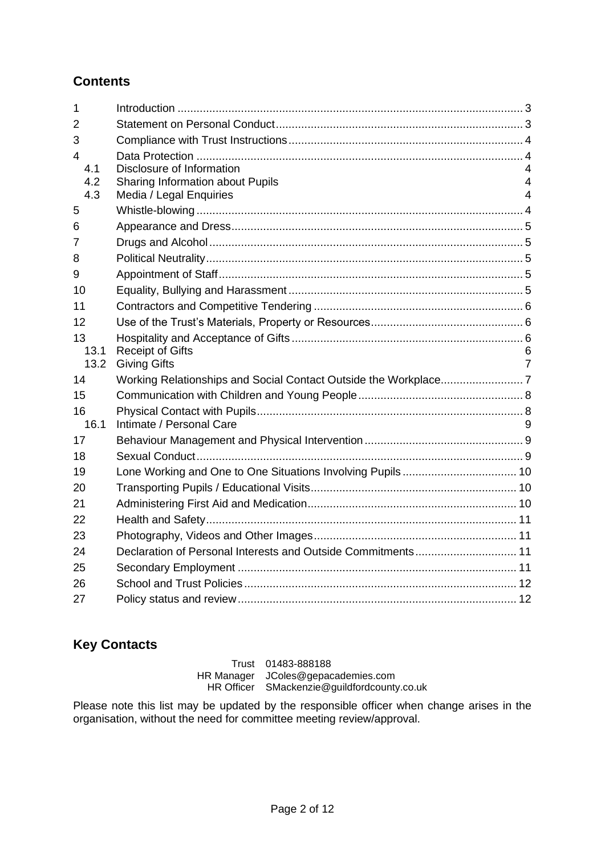## **Contents**

| $\mathbf{1}$ |                                                              |        |
|--------------|--------------------------------------------------------------|--------|
| 2            |                                                              |        |
| 3            |                                                              |        |
| 4            |                                                              |        |
| 4.1          | Disclosure of Information                                    | 4      |
| 4.2<br>4.3   | Sharing Information about Pupils                             | 4<br>4 |
| 5            | Media / Legal Enquiries                                      |        |
|              |                                                              |        |
| 6            |                                                              |        |
| 7            |                                                              |        |
| 8            |                                                              |        |
| 9            |                                                              |        |
| 10           |                                                              |        |
| 11           |                                                              |        |
| 12           |                                                              |        |
| 13           |                                                              |        |
| 13.1<br>13.2 | <b>Receipt of Gifts</b><br><b>Giving Gifts</b>               | 6<br>7 |
| 14           |                                                              |        |
| 15           |                                                              |        |
| 16           |                                                              |        |
| 16.1         | Intimate / Personal Care                                     | 9      |
| 17           |                                                              |        |
| 18           |                                                              |        |
| 19           |                                                              |        |
| 20           |                                                              |        |
| 21           |                                                              |        |
| 22           |                                                              |        |
| 23           |                                                              |        |
| 24           | Declaration of Personal Interests and Outside Commitments 11 |        |
| 25           |                                                              |        |
| 26           |                                                              |        |
| 27           |                                                              |        |
|              |                                                              |        |

# **Key Contacts**

Trust 01483-888188 HR Manager JColes@gepacademies.com HR Officer SMackenzie@guildfordcounty.co.uk

Please note this list may be updated by the responsible officer when change arises in the organisation, without the need for committee meeting review/approval.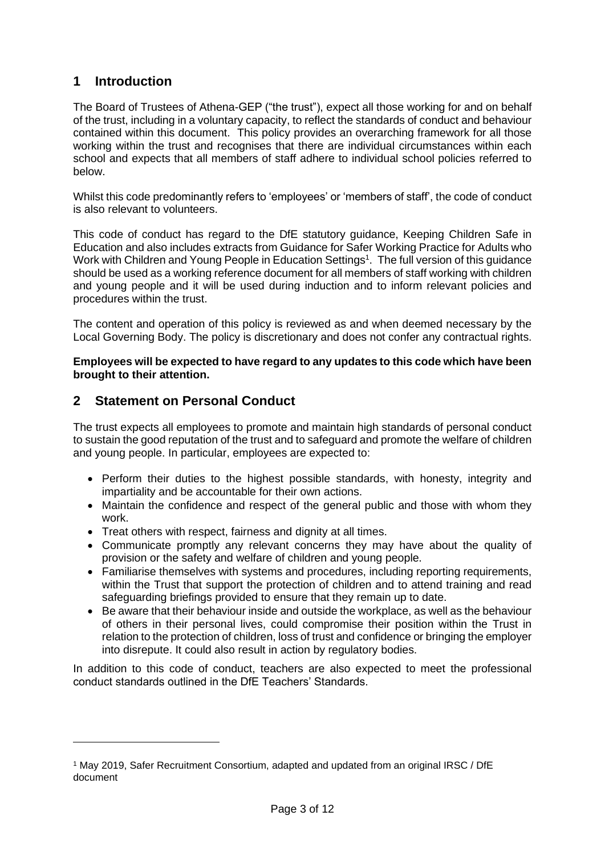## <span id="page-2-0"></span>**1 Introduction**

The Board of Trustees of Athena-GEP ("the trust"), expect all those working for and on behalf of the trust, including in a voluntary capacity, to reflect the standards of conduct and behaviour contained within this document. This policy provides an overarching framework for all those working within the trust and recognises that there are individual circumstances within each school and expects that all members of staff adhere to individual school policies referred to below.

Whilst this code predominantly refers to 'employees' or 'members of staff', the code of conduct is also relevant to volunteers.

This code of conduct has regard to the DfE statutory guidance, Keeping Children Safe in Education and also includes extracts from Guidance for Safer Working Practice for Adults who Work with Children and Young People in Education Settings<sup>1</sup>. The full version of this guidance should be used as a working reference document for all members of staff working with children and young people and it will be used during induction and to inform relevant policies and procedures within the trust.

The content and operation of this policy is reviewed as and when deemed necessary by the Local Governing Body. The policy is discretionary and does not confer any contractual rights.

**Employees will be expected to have regard to any updates to this code which have been brought to their attention.**

### <span id="page-2-1"></span>**2 Statement on Personal Conduct**

The trust expects all employees to promote and maintain high standards of personal conduct to sustain the good reputation of the trust and to safeguard and promote the welfare of children and young people. In particular, employees are expected to:

- Perform their duties to the highest possible standards, with honesty, integrity and impartiality and be accountable for their own actions.
- Maintain the confidence and respect of the general public and those with whom they work.
- Treat others with respect, fairness and dignity at all times.
- Communicate promptly any relevant concerns they may have about the quality of provision or the safety and welfare of children and young people.
- Familiarise themselves with systems and procedures, including reporting requirements, within the Trust that support the protection of children and to attend training and read safeguarding briefings provided to ensure that they remain up to date.
- Be aware that their behaviour inside and outside the workplace, as well as the behaviour of others in their personal lives, could compromise their position within the Trust in relation to the protection of children, loss of trust and confidence or bringing the employer into disrepute. It could also result in action by regulatory bodies.

In addition to this code of conduct, teachers are also expected to meet the professional conduct standards outlined in the DfE Teachers' Standards.

<sup>1</sup> May 2019, Safer Recruitment Consortium, adapted and updated from an original IRSC / DfE document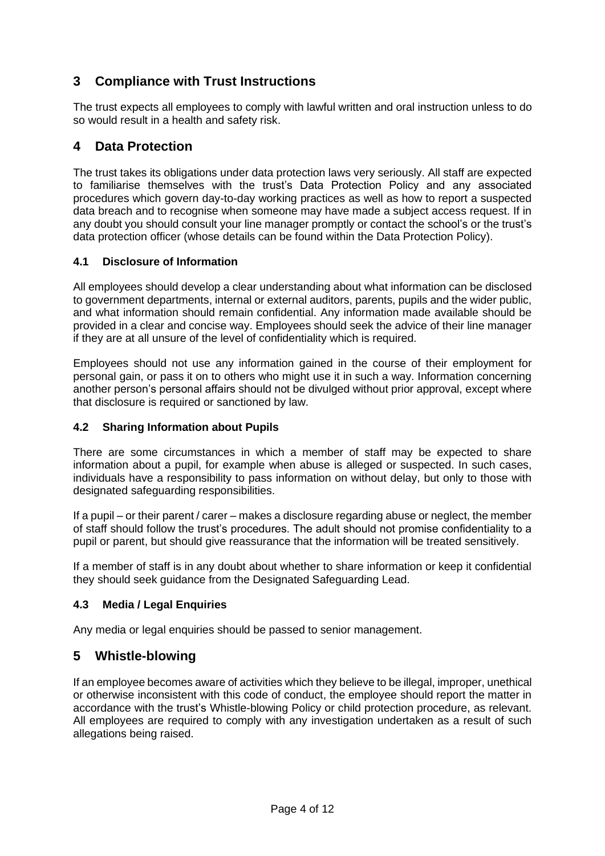## <span id="page-3-0"></span>**3 Compliance with Trust Instructions**

The trust expects all employees to comply with lawful written and oral instruction unless to do so would result in a health and safety risk.

### <span id="page-3-1"></span>**4 Data Protection**

The trust takes its obligations under data protection laws very seriously. All staff are expected to familiarise themselves with the trust's Data Protection Policy and any associated procedures which govern day-to-day working practices as well as how to report a suspected data breach and to recognise when someone may have made a subject access request. If in any doubt you should consult your line manager promptly or contact the school's or the trust's data protection officer (whose details can be found within the Data Protection Policy).

#### <span id="page-3-2"></span>**4.1 Disclosure of Information**

All employees should develop a clear understanding about what information can be disclosed to government departments, internal or external auditors, parents, pupils and the wider public, and what information should remain confidential. Any information made available should be provided in a clear and concise way. Employees should seek the advice of their line manager if they are at all unsure of the level of confidentiality which is required.

Employees should not use any information gained in the course of their employment for personal gain, or pass it on to others who might use it in such a way. Information concerning another person's personal affairs should not be divulged without prior approval, except where that disclosure is required or sanctioned by law.

#### <span id="page-3-3"></span>**4.2 Sharing Information about Pupils**

There are some circumstances in which a member of staff may be expected to share information about a pupil, for example when abuse is alleged or suspected. In such cases, individuals have a responsibility to pass information on without delay, but only to those with designated safeguarding responsibilities.

If a pupil – or their parent / carer – makes a disclosure regarding abuse or neglect, the member of staff should follow the trust's procedures. The adult should not promise confidentiality to a pupil or parent, but should give reassurance that the information will be treated sensitively.

If a member of staff is in any doubt about whether to share information or keep it confidential they should seek guidance from the Designated Safeguarding Lead.

### <span id="page-3-4"></span>**4.3 Media / Legal Enquiries**

Any media or legal enquiries should be passed to senior management.

### <span id="page-3-5"></span>**5 Whistle-blowing**

If an employee becomes aware of activities which they believe to be illegal, improper, unethical or otherwise inconsistent with this code of conduct, the employee should report the matter in accordance with the trust's Whistle-blowing Policy or child protection procedure, as relevant. All employees are required to comply with any investigation undertaken as a result of such allegations being raised.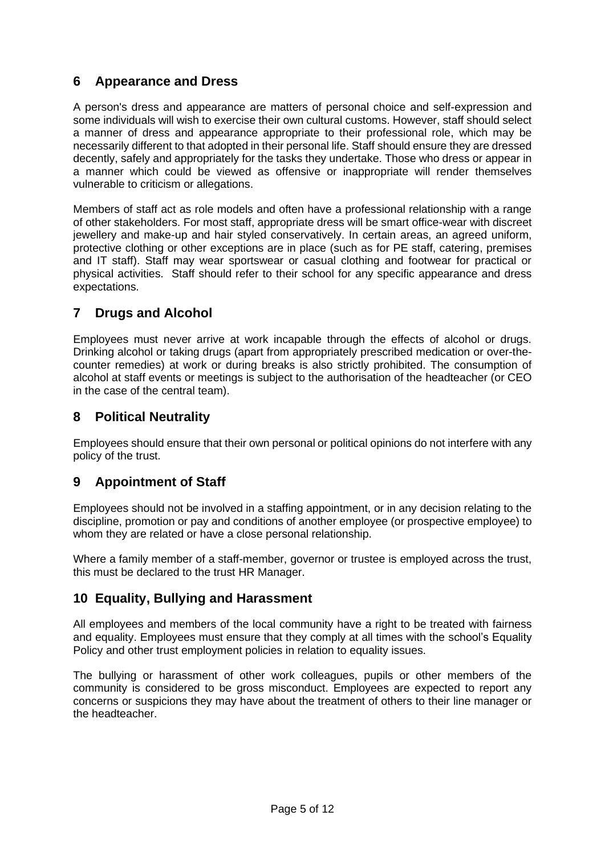## <span id="page-4-0"></span>**6 Appearance and Dress**

A person's dress and appearance are matters of personal choice and self-expression and some individuals will wish to exercise their own cultural customs. However, staff should select a manner of dress and appearance appropriate to their professional role, which may be necessarily different to that adopted in their personal life. Staff should ensure they are dressed decently, safely and appropriately for the tasks they undertake. Those who dress or appear in a manner which could be viewed as offensive or inappropriate will render themselves vulnerable to criticism or allegations.

Members of staff act as role models and often have a professional relationship with a range of other stakeholders. For most staff, appropriate dress will be smart office-wear with discreet jewellery and make-up and hair styled conservatively. In certain areas, an agreed uniform, protective clothing or other exceptions are in place (such as for PE staff, catering, premises and IT staff). Staff may wear sportswear or casual clothing and footwear for practical or physical activities. Staff should refer to their school for any specific appearance and dress expectations.

## <span id="page-4-1"></span>**7 Drugs and Alcohol**

Employees must never arrive at work incapable through the effects of alcohol or drugs. Drinking alcohol or taking drugs (apart from appropriately prescribed medication or over-thecounter remedies) at work or during breaks is also strictly prohibited. The consumption of alcohol at staff events or meetings is subject to the authorisation of the headteacher (or CEO in the case of the central team).

### <span id="page-4-2"></span>**8 Political Neutrality**

Employees should ensure that their own personal or political opinions do not interfere with any policy of the trust.

## <span id="page-4-3"></span>**9 Appointment of Staff**

Employees should not be involved in a staffing appointment, or in any decision relating to the discipline, promotion or pay and conditions of another employee (or prospective employee) to whom they are related or have a close personal relationship.

Where a family member of a staff-member, governor or trustee is employed across the trust, this must be declared to the trust HR Manager.

## <span id="page-4-4"></span>**10 Equality, Bullying and Harassment**

All employees and members of the local community have a right to be treated with fairness and equality. Employees must ensure that they comply at all times with the school's Equality Policy and other trust employment policies in relation to equality issues.

The bullying or harassment of other work colleagues, pupils or other members of the community is considered to be gross misconduct. Employees are expected to report any concerns or suspicions they may have about the treatment of others to their line manager or the headteacher.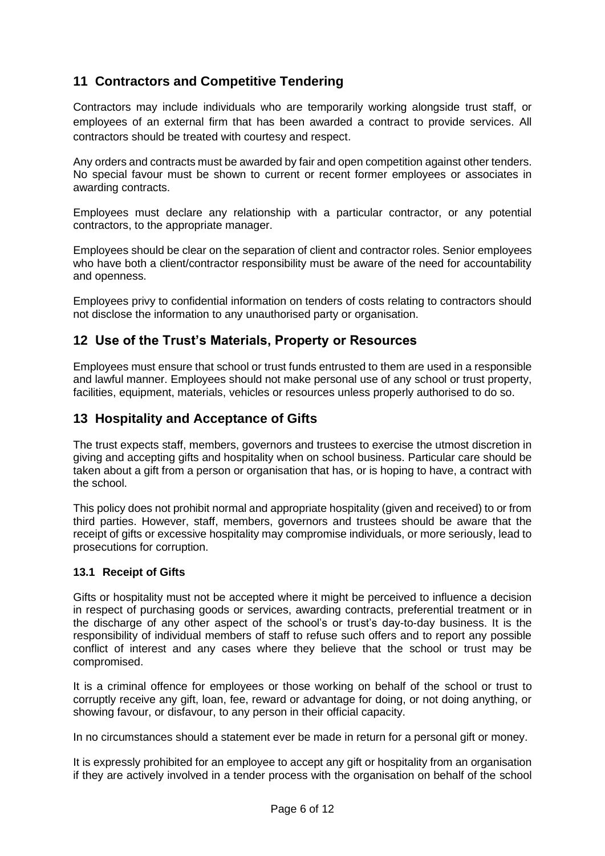## <span id="page-5-0"></span>**11 Contractors and Competitive Tendering**

Contractors may include individuals who are temporarily working alongside trust staff, or employees of an external firm that has been awarded a contract to provide services. All contractors should be treated with courtesy and respect.

Any orders and contracts must be awarded by fair and open competition against other tenders. No special favour must be shown to current or recent former employees or associates in awarding contracts.

Employees must declare any relationship with a particular contractor, or any potential contractors, to the appropriate manager.

Employees should be clear on the separation of client and contractor roles. Senior employees who have both a client/contractor responsibility must be aware of the need for accountability and openness.

Employees privy to confidential information on tenders of costs relating to contractors should not disclose the information to any unauthorised party or organisation.

### <span id="page-5-1"></span>**12 Use of the Trust's Materials, Property or Resources**

Employees must ensure that school or trust funds entrusted to them are used in a responsible and lawful manner. Employees should not make personal use of any school or trust property, facilities, equipment, materials, vehicles or resources unless properly authorised to do so.

### <span id="page-5-2"></span>**13 Hospitality and Acceptance of Gifts**

The trust expects staff, members, governors and trustees to exercise the utmost discretion in giving and accepting gifts and hospitality when on school business. Particular care should be taken about a gift from a person or organisation that has, or is hoping to have, a contract with the school.

This policy does not prohibit normal and appropriate hospitality (given and received) to or from third parties. However, staff, members, governors and trustees should be aware that the receipt of gifts or excessive hospitality may compromise individuals, or more seriously, lead to prosecutions for corruption.

#### <span id="page-5-3"></span>**13.1 Receipt of Gifts**

Gifts or hospitality must not be accepted where it might be perceived to influence a decision in respect of purchasing goods or services, awarding contracts, preferential treatment or in the discharge of any other aspect of the school's or trust's day-to-day business. It is the responsibility of individual members of staff to refuse such offers and to report any possible conflict of interest and any cases where they believe that the school or trust may be compromised.

It is a criminal offence for employees or those working on behalf of the school or trust to corruptly receive any gift, loan, fee, reward or advantage for doing, or not doing anything, or showing favour, or disfavour, to any person in their official capacity.

In no circumstances should a statement ever be made in return for a personal gift or money.

It is expressly prohibited for an employee to accept any gift or hospitality from an organisation if they are actively involved in a tender process with the organisation on behalf of the school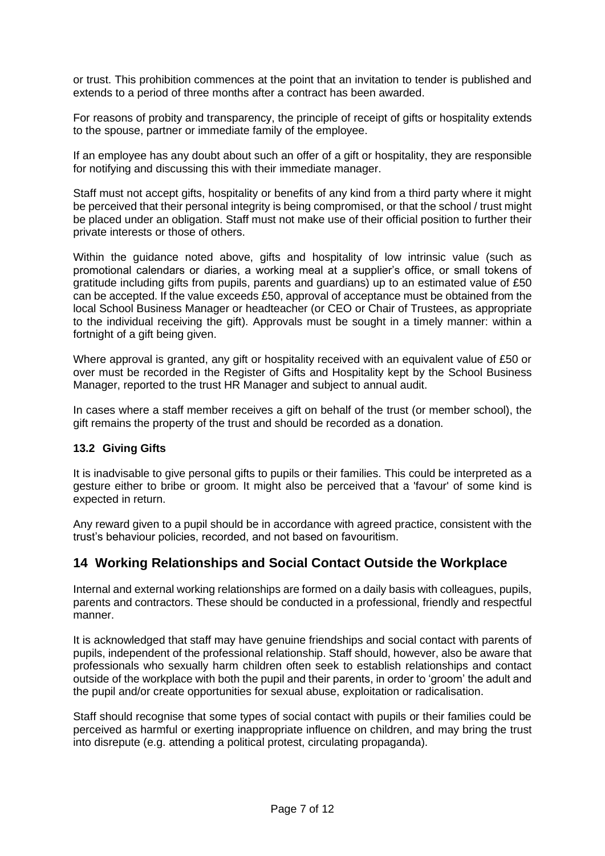or trust. This prohibition commences at the point that an invitation to tender is published and extends to a period of three months after a contract has been awarded.

For reasons of probity and transparency, the principle of receipt of gifts or hospitality extends to the spouse, partner or immediate family of the employee.

If an employee has any doubt about such an offer of a gift or hospitality, they are responsible for notifying and discussing this with their immediate manager.

Staff must not accept gifts, hospitality or benefits of any kind from a third party where it might be perceived that their personal integrity is being compromised, or that the school / trust might be placed under an obligation. Staff must not make use of their official position to further their private interests or those of others.

Within the guidance noted above, gifts and hospitality of low intrinsic value (such as promotional calendars or diaries, a working meal at a supplier's office, or small tokens of gratitude including gifts from pupils, parents and guardians) up to an estimated value of £50 can be accepted. If the value exceeds £50, approval of acceptance must be obtained from the local School Business Manager or headteacher (or CEO or Chair of Trustees, as appropriate to the individual receiving the gift). Approvals must be sought in a timely manner: within a fortnight of a gift being given.

Where approval is granted, any gift or hospitality received with an equivalent value of £50 or over must be recorded in the Register of Gifts and Hospitality kept by the School Business Manager, reported to the trust HR Manager and subject to annual audit.

In cases where a staff member receives a gift on behalf of the trust (or member school), the gift remains the property of the trust and should be recorded as a donation.

#### <span id="page-6-0"></span>**13.2 Giving Gifts**

It is inadvisable to give personal gifts to pupils or their families. This could be interpreted as a gesture either to bribe or groom. It might also be perceived that a 'favour' of some kind is expected in return.

Any reward given to a pupil should be in accordance with agreed practice, consistent with the trust's behaviour policies, recorded, and not based on favouritism.

### <span id="page-6-1"></span>**14 Working Relationships and Social Contact Outside the Workplace**

Internal and external working relationships are formed on a daily basis with colleagues, pupils, parents and contractors. These should be conducted in a professional, friendly and respectful manner.

It is acknowledged that staff may have genuine friendships and social contact with parents of pupils, independent of the professional relationship. Staff should, however, also be aware that professionals who sexually harm children often seek to establish relationships and contact outside of the workplace with both the pupil and their parents, in order to 'groom' the adult and the pupil and/or create opportunities for sexual abuse, exploitation or radicalisation.

Staff should recognise that some types of social contact with pupils or their families could be perceived as harmful or exerting inappropriate influence on children, and may bring the trust into disrepute (e.g. attending a political protest, circulating propaganda).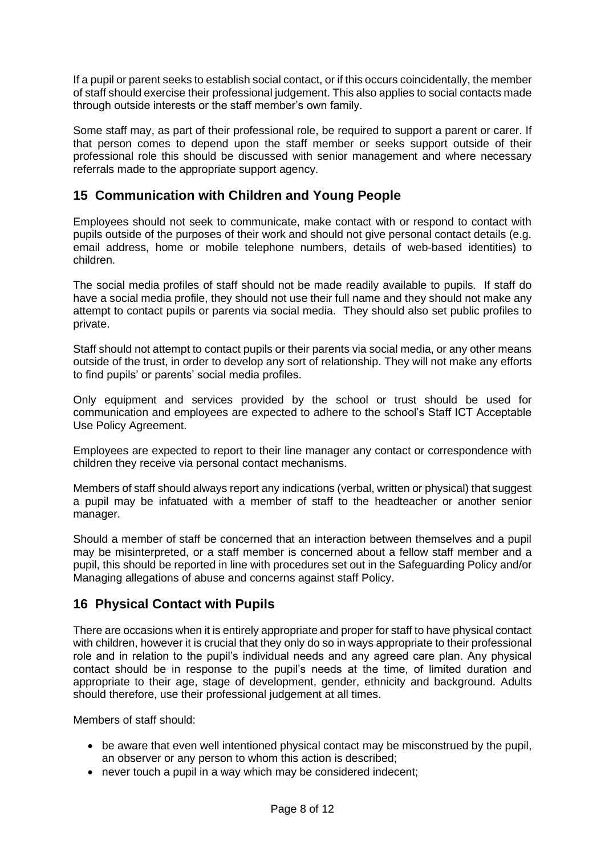If a pupil or parent seeks to establish social contact, or if this occurs coincidentally, the member of staff should exercise their professional judgement. This also applies to social contacts made through outside interests or the staff member's own family.

Some staff may, as part of their professional role, be required to support a parent or carer. If that person comes to depend upon the staff member or seeks support outside of their professional role this should be discussed with senior management and where necessary referrals made to the appropriate support agency.

## <span id="page-7-0"></span>**15 Communication with Children and Young People**

Employees should not seek to communicate, make contact with or respond to contact with pupils outside of the purposes of their work and should not give personal contact details (e.g. email address, home or mobile telephone numbers, details of web-based identities) to children.

The social media profiles of staff should not be made readily available to pupils. If staff do have a social media profile, they should not use their full name and they should not make any attempt to contact pupils or parents via social media. They should also set public profiles to private.

Staff should not attempt to contact pupils or their parents via social media, or any other means outside of the trust, in order to develop any sort of relationship. They will not make any efforts to find pupils' or parents' social media profiles.

Only equipment and services provided by the school or trust should be used for communication and employees are expected to adhere to the school's Staff ICT Acceptable Use Policy Agreement.

Employees are expected to report to their line manager any contact or correspondence with children they receive via personal contact mechanisms.

Members of staff should always report any indications (verbal, written or physical) that suggest a pupil may be infatuated with a member of staff to the headteacher or another senior manager.

Should a member of staff be concerned that an interaction between themselves and a pupil may be misinterpreted, or a staff member is concerned about a fellow staff member and a pupil, this should be reported in line with procedures set out in the Safeguarding Policy and/or Managing allegations of abuse and concerns against staff Policy.

## <span id="page-7-1"></span>**16 Physical Contact with Pupils**

There are occasions when it is entirely appropriate and proper for staff to have physical contact with children, however it is crucial that they only do so in ways appropriate to their professional role and in relation to the pupil's individual needs and any agreed care plan. Any physical contact should be in response to the pupil's needs at the time, of limited duration and appropriate to their age, stage of development, gender, ethnicity and background. Adults should therefore, use their professional judgement at all times.

Members of staff should:

- be aware that even well intentioned physical contact may be misconstrued by the pupil, an observer or any person to whom this action is described;
- never touch a pupil in a way which may be considered indecent;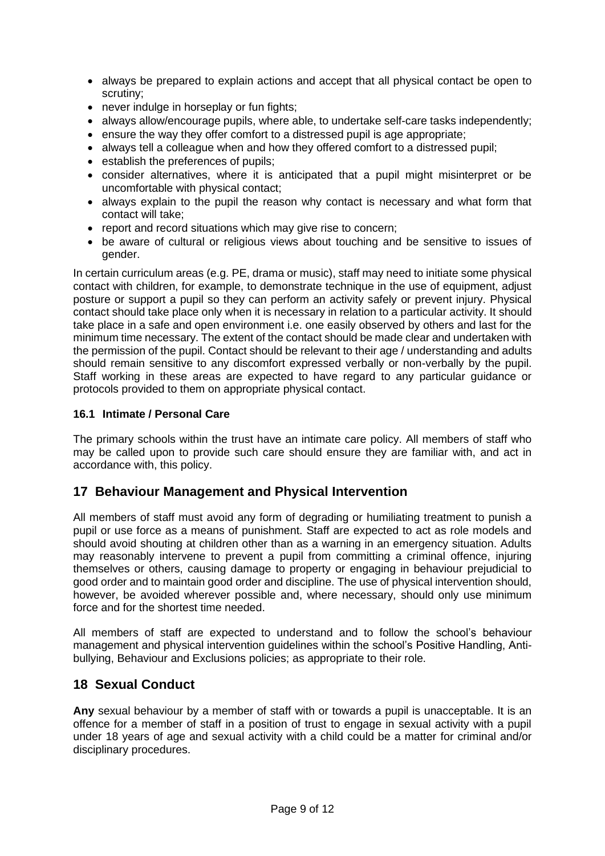- always be prepared to explain actions and accept that all physical contact be open to scrutiny;
- never indulge in horseplay or fun fights;
- always allow/encourage pupils, where able, to undertake self-care tasks independently:
- ensure the way they offer comfort to a distressed pupil is age appropriate:
- always tell a colleague when and how they offered comfort to a distressed pupil;
- establish the preferences of pupils;
- consider alternatives, where it is anticipated that a pupil might misinterpret or be uncomfortable with physical contact;
- always explain to the pupil the reason why contact is necessary and what form that contact will take;
- report and record situations which may give rise to concern:
- be aware of cultural or religious views about touching and be sensitive to issues of gender.

In certain curriculum areas (e.g. PE, drama or music), staff may need to initiate some physical contact with children, for example, to demonstrate technique in the use of equipment, adjust posture or support a pupil so they can perform an activity safely or prevent injury. Physical contact should take place only when it is necessary in relation to a particular activity. It should take place in a safe and open environment i.e. one easily observed by others and last for the minimum time necessary. The extent of the contact should be made clear and undertaken with the permission of the pupil. Contact should be relevant to their age / understanding and adults should remain sensitive to any discomfort expressed verbally or non-verbally by the pupil. Staff working in these areas are expected to have regard to any particular guidance or protocols provided to them on appropriate physical contact.

#### <span id="page-8-0"></span>**16.1 Intimate / Personal Care**

The primary schools within the trust have an intimate care policy. All members of staff who may be called upon to provide such care should ensure they are familiar with, and act in accordance with, this policy.

### <span id="page-8-1"></span>**17 Behaviour Management and Physical Intervention**

All members of staff must avoid any form of degrading or humiliating treatment to punish a pupil or use force as a means of punishment. Staff are expected to act as role models and should avoid shouting at children other than as a warning in an emergency situation. Adults may reasonably intervene to prevent a pupil from committing a criminal offence, injuring themselves or others, causing damage to property or engaging in behaviour prejudicial to good order and to maintain good order and discipline. The use of physical intervention should, however, be avoided wherever possible and, where necessary, should only use minimum force and for the shortest time needed.

All members of staff are expected to understand and to follow the school's behaviour management and physical intervention guidelines within the school's Positive Handling, Antibullying, Behaviour and Exclusions policies; as appropriate to their role.

### <span id="page-8-2"></span>**18 Sexual Conduct**

**Any** sexual behaviour by a member of staff with or towards a pupil is unacceptable. It is an offence for a member of staff in a position of trust to engage in sexual activity with a pupil under 18 years of age and sexual activity with a child could be a matter for criminal and/or disciplinary procedures.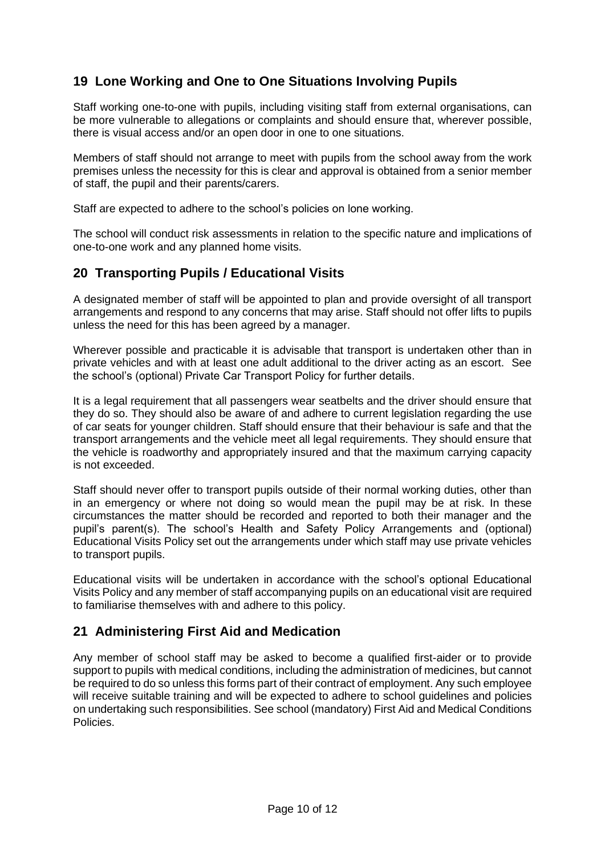## <span id="page-9-0"></span>**19 Lone Working and One to One Situations Involving Pupils**

Staff working one-to-one with pupils, including visiting staff from external organisations, can be more vulnerable to allegations or complaints and should ensure that, wherever possible, there is visual access and/or an open door in one to one situations.

Members of staff should not arrange to meet with pupils from the school away from the work premises unless the necessity for this is clear and approval is obtained from a senior member of staff, the pupil and their parents/carers.

Staff are expected to adhere to the school's policies on lone working.

The school will conduct risk assessments in relation to the specific nature and implications of one-to-one work and any planned home visits.

### <span id="page-9-1"></span>**20 Transporting Pupils / Educational Visits**

A designated member of staff will be appointed to plan and provide oversight of all transport arrangements and respond to any concerns that may arise. Staff should not offer lifts to pupils unless the need for this has been agreed by a manager.

Wherever possible and practicable it is advisable that transport is undertaken other than in private vehicles and with at least one adult additional to the driver acting as an escort. See the school's (optional) Private Car Transport Policy for further details.

It is a legal requirement that all passengers wear seatbelts and the driver should ensure that they do so. They should also be aware of and adhere to current legislation regarding the use of car seats for younger children. Staff should ensure that their behaviour is safe and that the transport arrangements and the vehicle meet all legal requirements. They should ensure that the vehicle is roadworthy and appropriately insured and that the maximum carrying capacity is not exceeded.

Staff should never offer to transport pupils outside of their normal working duties, other than in an emergency or where not doing so would mean the pupil may be at risk. In these circumstances the matter should be recorded and reported to both their manager and the pupil's parent(s). The school's Health and Safety Policy Arrangements and (optional) Educational Visits Policy set out the arrangements under which staff may use private vehicles to transport pupils.

Educational visits will be undertaken in accordance with the school's optional Educational Visits Policy and any member of staff accompanying pupils on an educational visit are required to familiarise themselves with and adhere to this policy.

## <span id="page-9-2"></span>**21 Administering First Aid and Medication**

Any member of school staff may be asked to become a qualified first-aider or to provide support to pupils with medical conditions, including the administration of medicines, but cannot be required to do so unless this forms part of their contract of employment. Any such employee will receive suitable training and will be expected to adhere to school guidelines and policies on undertaking such responsibilities. See school (mandatory) First Aid and Medical Conditions Policies.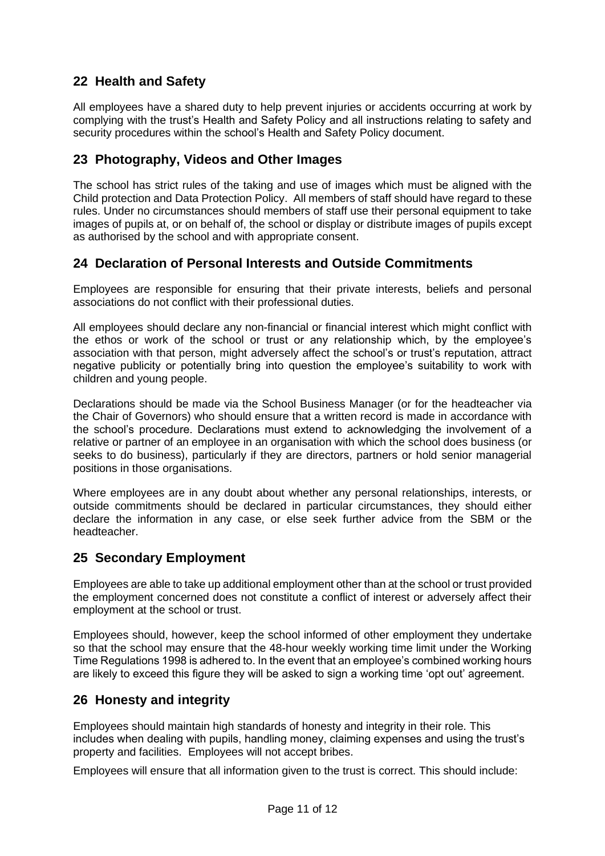## <span id="page-10-0"></span>**22 Health and Safety**

All employees have a shared duty to help prevent injuries or accidents occurring at work by complying with the trust's Health and Safety Policy and all instructions relating to safety and security procedures within the school's Health and Safety Policy document.

## <span id="page-10-1"></span>**23 Photography, Videos and Other Images**

The school has strict rules of the taking and use of images which must be aligned with the Child protection and Data Protection Policy. All members of staff should have regard to these rules. Under no circumstances should members of staff use their personal equipment to take images of pupils at, or on behalf of, the school or display or distribute images of pupils except as authorised by the school and with appropriate consent.

## <span id="page-10-2"></span>**24 Declaration of Personal Interests and Outside Commitments**

Employees are responsible for ensuring that their private interests, beliefs and personal associations do not conflict with their professional duties.

All employees should declare any non-financial or financial interest which might conflict with the ethos or work of the school or trust or any relationship which, by the employee's association with that person, might adversely affect the school's or trust's reputation, attract negative publicity or potentially bring into question the employee's suitability to work with children and young people.

Declarations should be made via the School Business Manager (or for the headteacher via the Chair of Governors) who should ensure that a written record is made in accordance with the school's procedure. Declarations must extend to acknowledging the involvement of a relative or partner of an employee in an organisation with which the school does business (or seeks to do business), particularly if they are directors, partners or hold senior managerial positions in those organisations.

Where employees are in any doubt about whether any personal relationships, interests, or outside commitments should be declared in particular circumstances, they should either declare the information in any case, or else seek further advice from the SBM or the headteacher.

## <span id="page-10-3"></span>**25 Secondary Employment**

Employees are able to take up additional employment other than at the school or trust provided the employment concerned does not constitute a conflict of interest or adversely affect their employment at the school or trust.

Employees should, however, keep the school informed of other employment they undertake so that the school may ensure that the 48-hour weekly working time limit under the Working Time Regulations 1998 is adhered to. In the event that an employee's combined working hours are likely to exceed this figure they will be asked to sign a working time 'opt out' agreement.

## **26 Honesty and integrity**

Employees should maintain high standards of honesty and integrity in their role. This includes when dealing with pupils, handling money, claiming expenses and using the trust's property and facilities. Employees will not accept bribes.

Employees will ensure that all information given to the trust is correct. This should include: